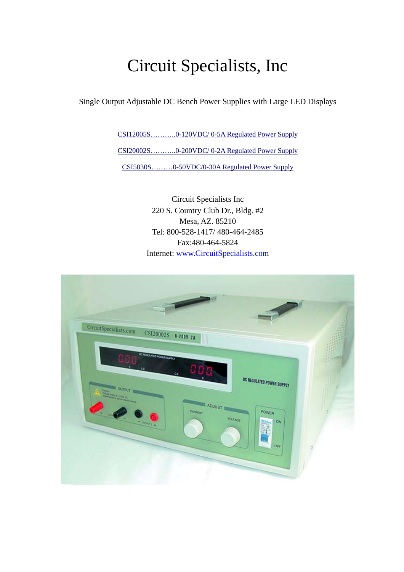# Circuit Specialists, Inc

Single Output Adjustable DC Bench Power Supplies with Large LED Displays

[CSI12005S………..0-120VDC/ 0-5A Regulated Power Supply](http://www.circuitspecialists.com/prod.itml/icOid/8767) [CSI20002S………..0-200VDC/ 0-2A Regulated Power Supply](http://www.circuitspecialists.com/prod.itml/icOid/8768) [CSI5030S………0-50VDC/0-30A](http://www.circuitspecialists.com/prod.itml/icOid/8766) Regulated Power Supply

> Circuit Specialists Inc 220 S. Country Club Dr., Bldg. #2 Mesa, AZ. 85210 Tel: 800-528-1417/ 480-464-2485 Fax:480-464-5824 Internet: www.CircuitSpecialists.com

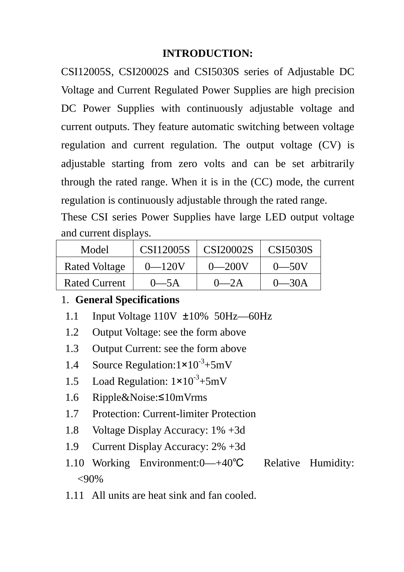## **INTRODUCTION:**

CSI12005S, CSI20002S and CSI5030S series of Adjustable DC Voltage and Current Regulated Power Supplies are high precision DC Power Supplies with continuously adjustable voltage and current outputs. They feature automatic switching between voltage regulation and current regulation. The output voltage (CV) is adjustable starting from zero volts and can be set arbitrarily through the rated range. When it is in the (CC) mode, the current regulation is continuously adjustable through the rated range.

These CSI series Power Supplies have large LED output voltage and current displays.

| Model                | CSI12005S  | CSI20002S     | CSI5030S |
|----------------------|------------|---------------|----------|
| <b>Rated Voltage</b> | $0 - 120V$ | $( )\_ 200V $ |          |
| <b>Rated Current</b> | $0-5A$     | $\_$ 2 A      |          |

## 1. **General Specifications**

- 1.1 Input Voltage  $110V \pm 10\%$  50Hz --60Hz
- 1.2 Output Voltage: see the form above
- 1.3 Output Current: see the form above
- 1.4 Source Regulation: $1 \times 10^{-3} + 5 \text{mV}$
- 1.5 Load Regulation:  $1 \times 10^{-3} + 5 \text{mV}$
- 1.6 Ripple&Noise:≤10mVrms
- 1.7 Protection: Current-limiter Protection
- 1.8 Voltage Display Accuracy: 1% +3d
- 1.9 Current Display Accuracy: 2% +3d
- 1.10 Working Environment:0—+40℃ Relative Humidity:  $< 90\%$
- 1.11 All units are heat sink and fan cooled.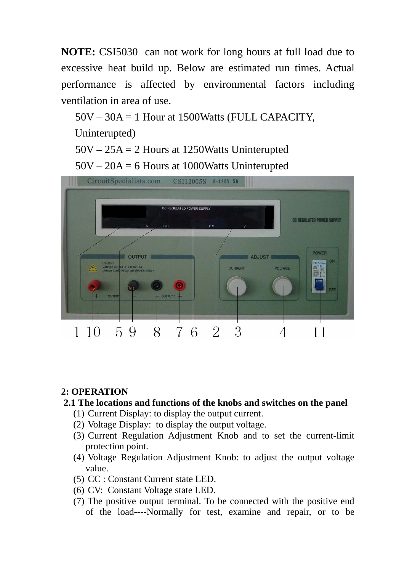**NOTE:** CSI5030 can not work for long hours at full load due to excessive heat build up. Below are estimated run times. Actual performance is affected by environmental factors including ventilation in area of use.

50V – 30A = 1 Hour at 1500Watts (FULL CAPACITY,

Uninterupted)

50V – 25A = 2 Hours at 1250Watts Uninterupted

50V – 20A = 6 Hours at 1000Watts Uninterupted



#### **2: OPERATION**

#### **2.1 The locations and functions of the knobs and switches on the panel**

- (1) Current Display: to display the output current.
- (2) Voltage Display: to display the output voltage.
- (3) Current Regulation Adjustment Knob and to set the current-limit protection point.
- (4) Voltage Regulation Adjustment Knob: to adjust the output voltage value.
- (5) CC : Constant Current state LED.
- (6) CV: Constant Voltage state LED.
- (7) The positive output terminal. To be connected with the positive end of the load----Normally for test, examine and repair, or to be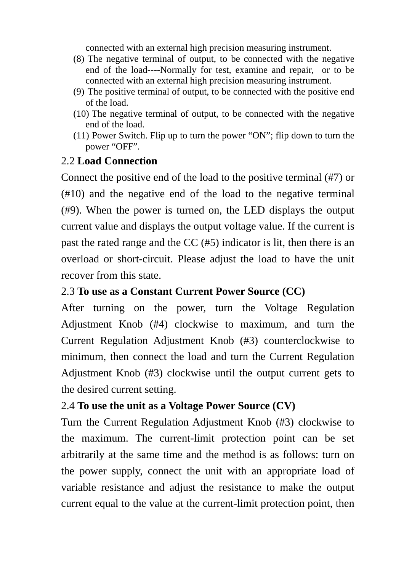connected with an external high precision measuring instrument.

- (8) The negative terminal of output, to be connected with the negative end of the load----Normally for test, examine and repair, or to be connected with an external high precision measuring instrument.
- (9) The positive terminal of output, to be connected with the positive end of the load.
- (10) The negative terminal of output, to be connected with the negative end of the load.
- (11) Power Switch. Flip up to turn the power "ON"; flip down to turn the power "OFF".

## 2.2 **Load Connection**

Connect the positive end of the load to the positive terminal (#7) or (#10) and the negative end of the load to the negative terminal (#9). When the power is turned on, the LED displays the output current value and displays the output voltage value. If the current is past the rated range and the CC (#5) indicator is lit, then there is an overload or short-circuit. Please adjust the load to have the unit recover from this state.

## 2.3 **To use as a Constant Current Power Source (CC)**

After turning on the power, turn the Voltage Regulation Adjustment Knob (#4) clockwise to maximum, and turn the Current Regulation Adjustment Knob (#3) counterclockwise to minimum, then connect the load and turn the Current Regulation Adjustment Knob (#3) clockwise until the output current gets to the desired current setting.

# 2.4 **To use the unit as a Voltage Power Source (CV)**

Turn the Current Regulation Adjustment Knob (#3) clockwise to the maximum. The current-limit protection point can be set arbitrarily at the same time and the method is as follows: turn on the power supply, connect the unit with an appropriate load of variable resistance and adjust the resistance to make the output current equal to the value at the current-limit protection point, then